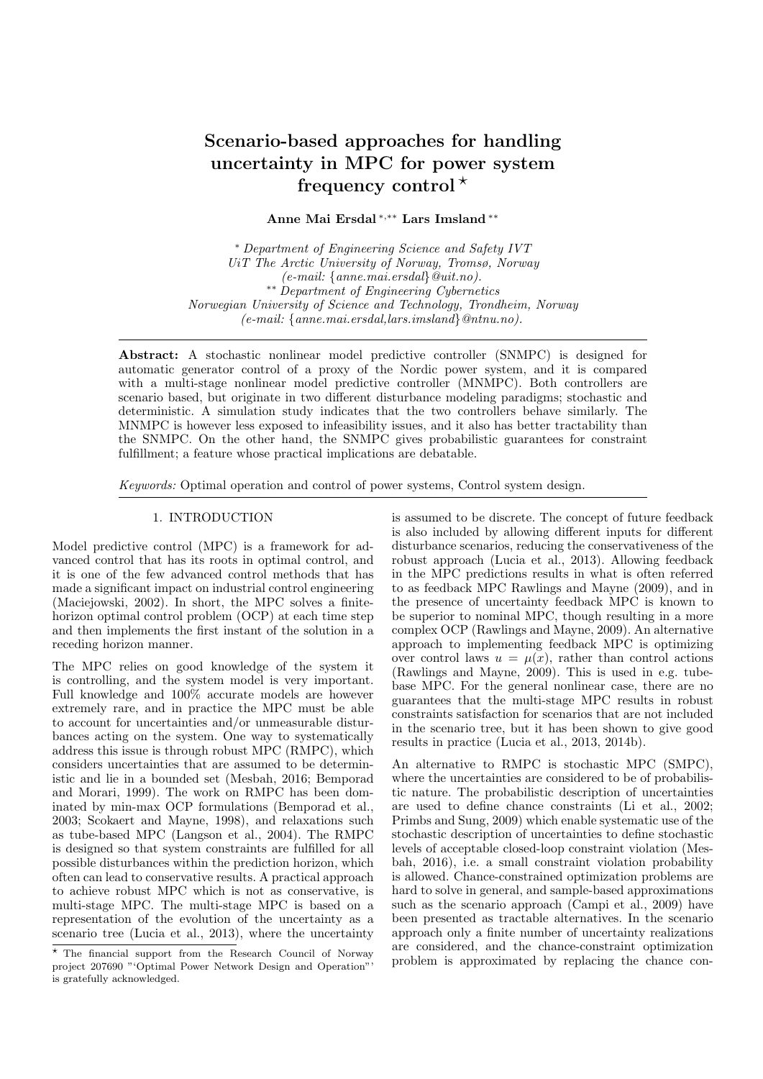# Scenario-based approaches for handling uncertainty in MPC for power system frequency control  $*$

Anne Mai Ersdal <sup>∗</sup>,∗∗ Lars Imsland ∗∗

<sup>∗</sup> Department of Engineering Science and Safety IVT UiT The Arctic University of Norway, Tromsø, Norway (e-mail: {anne.mai.ersdal}@uit.no). ∗∗ Department of Engineering Cybernetics Norwegian University of Science and Technology, Trondheim, Norway (e-mail: {anne.mai.ersdal,lars.imsland}@ntnu.no).

Abstract: A stochastic nonlinear model predictive controller (SNMPC) is designed for automatic generator control of a proxy of the Nordic power system, and it is compared with a multi-stage nonlinear model predictive controller (MNMPC). Both controllers are scenario based, but originate in two different disturbance modeling paradigms; stochastic and deterministic. A simulation study indicates that the two controllers behave similarly. The MNMPC is however less exposed to infeasibility issues, and it also has better tractability than the SNMPC. On the other hand, the SNMPC gives probabilistic guarantees for constraint fulfillment; a feature whose practical implications are debatable.

Keywords: Optimal operation and control of power systems, Control system design.

#### 1. INTRODUCTION

Model predictive control (MPC) is a framework for advanced control that has its roots in optimal control, and it is one of the few advanced control methods that has made a significant impact on industrial control engineering (Maciejowski, 2002). In short, the MPC solves a finitehorizon optimal control problem (OCP) at each time step and then implements the first instant of the solution in a receding horizon manner.

The MPC relies on good knowledge of the system it is controlling, and the system model is very important. Full knowledge and 100% accurate models are however extremely rare, and in practice the MPC must be able to account for uncertainties and/or unmeasurable disturbances acting on the system. One way to systematically address this issue is through robust MPC (RMPC), which considers uncertainties that are assumed to be deterministic and lie in a bounded set (Mesbah, 2016; Bemporad and Morari, 1999). The work on RMPC has been dominated by min-max OCP formulations (Bemporad et al., 2003; Scokaert and Mayne, 1998), and relaxations such as tube-based MPC (Langson et al., 2004). The RMPC is designed so that system constraints are fulfilled for all possible disturbances within the prediction horizon, which often can lead to conservative results. A practical approach to achieve robust MPC which is not as conservative, is multi-stage MPC. The multi-stage MPC is based on a representation of the evolution of the uncertainty as a scenario tree (Lucia et al., 2013), where the uncertainty

is assumed to be discrete. The concept of future feedback is also included by allowing different inputs for different disturbance scenarios, reducing the conservativeness of the robust approach (Lucia et al., 2013). Allowing feedback in the MPC predictions results in what is often referred to as feedback MPC Rawlings and Mayne (2009), and in the presence of uncertainty feedback MPC is known to be superior to nominal MPC, though resulting in a more complex OCP (Rawlings and Mayne, 2009). An alternative approach to implementing feedback MPC is optimizing over control laws  $u = u(x)$ , rather than control actions (Rawlings and Mayne, 2009). This is used in e.g. tubebase MPC. For the general nonlinear case, there are no guarantees that the multi-stage MPC results in robust constraints satisfaction for scenarios that are not included in the scenario tree, but it has been shown to give good results in practice (Lucia et al., 2013, 2014b).

An alternative to RMPC is stochastic MPC (SMPC), where the uncertainties are considered to be of probabilistic nature. The probabilistic description of uncertainties are used to define chance constraints (Li et al., 2002; Primbs and Sung, 2009) which enable systematic use of the stochastic description of uncertainties to define stochastic levels of acceptable closed-loop constraint violation (Mesbah, 2016), i.e. a small constraint violation probability is allowed. Chance-constrained optimization problems are hard to solve in general, and sample-based approximations such as the scenario approach (Campi et al., 2009) have been presented as tractable alternatives. In the scenario approach only a finite number of uncertainty realizations are considered, and the chance-constraint optimization problem is approximated by replacing the chance con-

<sup>?</sup> The financial support from the Research Council of Norway project 207690 "'Optimal Power Network Design and Operation"' is gratefully acknowledged.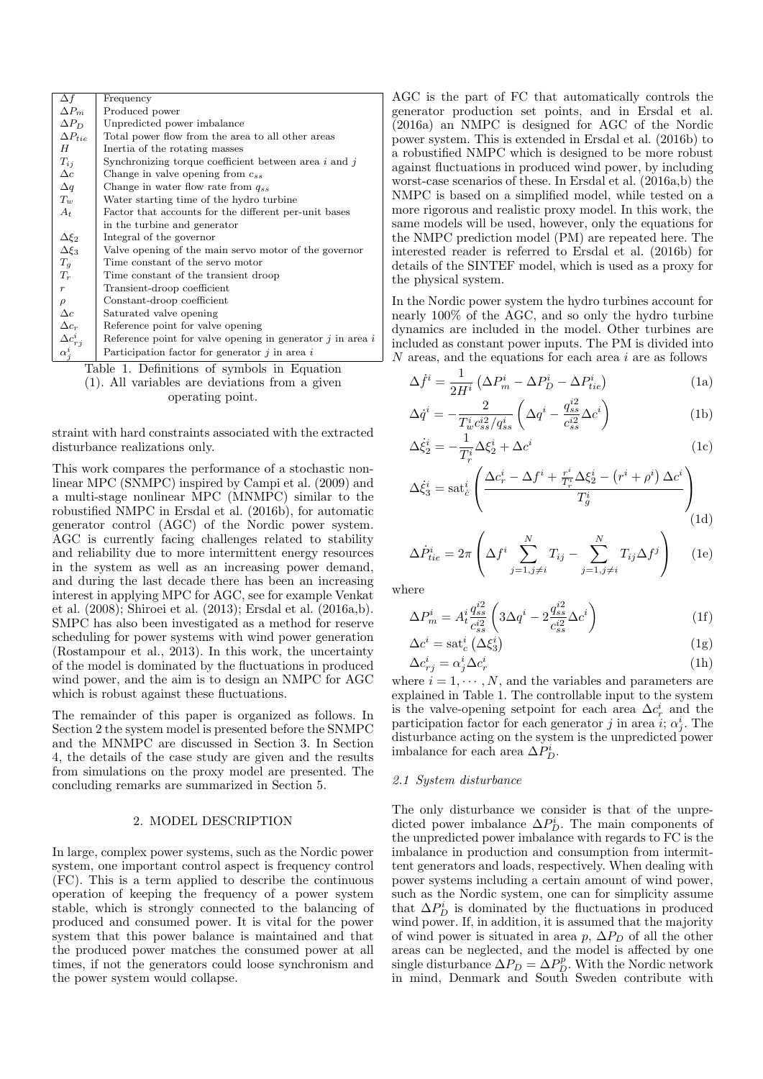| $\Delta f$                                  | Frequency                                                      |  |
|---------------------------------------------|----------------------------------------------------------------|--|
| $\Delta P_m$                                | Produced power                                                 |  |
| $\Delta P_D$                                | Unpredicted power imbalance                                    |  |
| $\Delta P_{tie}$                            | Total power flow from the area to all other areas              |  |
| H                                           | Inertia of the rotating masses                                 |  |
| $T_{ij}$                                    | Synchronizing torque coefficient between area $i$ and $j$      |  |
| $\Delta c$                                  | Change in valve opening from $c_{ss}$                          |  |
| $\Delta q$                                  | Change in water flow rate from $q_{ss}$                        |  |
| $T_{w}$                                     | Water starting time of the hydro turbine                       |  |
| $A_t$                                       | Factor that accounts for the different per-unit bases          |  |
|                                             | in the turbine and generator                                   |  |
| $\Delta \xi_2$                              | Integral of the governor                                       |  |
| $\Delta \xi_3$                              | Valve opening of the main servo motor of the governor          |  |
| $T_g$                                       | Time constant of the servo motor                               |  |
| $T_r$                                       | Time constant of the transient droop                           |  |
| $\boldsymbol{r}$                            | Transient-droop coefficient                                    |  |
| $\rho$                                      | Constant-droop coefficient                                     |  |
| $\Delta c$                                  | Saturated valve opening                                        |  |
| $\Delta c_r$                                | Reference point for valve opening                              |  |
| $\Delta c_{r,i}^i$                          | Reference point for valve opening in generator $j$ in area $i$ |  |
| $\alpha_i^i$                                | Participation factor for generator $j$ in area $i$             |  |
| Table 1. Definitions of symbols in Equation |                                                                |  |

(1). All variables are deviations from a given operating point.

straint with hard constraints associated with the extracted disturbance realizations only.

This work compares the performance of a stochastic nonlinear MPC (SNMPC) inspired by Campi et al. (2009) and a multi-stage nonlinear MPC (MNMPC) similar to the robustified NMPC in Ersdal et al. (2016b), for automatic generator control (AGC) of the Nordic power system. AGC is currently facing challenges related to stability and reliability due to more intermittent energy resources in the system as well as an increasing power demand, and during the last decade there has been an increasing interest in applying MPC for AGC, see for example Venkat et al. (2008); Shiroei et al. (2013); Ersdal et al. (2016a,b). SMPC has also been investigated as a method for reserve scheduling for power systems with wind power generation (Rostampour et al., 2013). In this work, the uncertainty of the model is dominated by the fluctuations in produced wind power, and the aim is to design an NMPC for AGC which is robust against these fluctuations.

The remainder of this paper is organized as follows. In Section 2 the system model is presented before the SNMPC and the MNMPC are discussed in Section 3. In Section 4, the details of the case study are given and the results from simulations on the proxy model are presented. The concluding remarks are summarized in Section 5.

## 2. MODEL DESCRIPTION

In large, complex power systems, such as the Nordic power system, one important control aspect is frequency control (FC). This is a term applied to describe the continuous operation of keeping the frequency of a power system stable, which is strongly connected to the balancing of produced and consumed power. It is vital for the power system that this power balance is maintained and that the produced power matches the consumed power at all times, if not the generators could loose synchronism and the power system would collapse.

AGC is the part of FC that automatically controls the generator production set points, and in Ersdal et al. (2016a) an NMPC is designed for AGC of the Nordic power system. This is extended in Ersdal et al. (2016b) to a robustified NMPC which is designed to be more robust against fluctuations in produced wind power, by including worst-case scenarios of these. In Ersdal et al. (2016a,b) the NMPC is based on a simplified model, while tested on a more rigorous and realistic proxy model. In this work, the same models will be used, however, only the equations for the NMPC prediction model (PM) are repeated here. The interested reader is referred to Ersdal et al. (2016b) for details of the SINTEF model, which is used as a proxy for the physical system.

In the Nordic power system the hydro turbines account for nearly 100% of the AGC, and so only the hydro turbine dynamics are included in the model. Other turbines are included as constant power inputs. The PM is divided into N areas, and the equations for each area i are as follows

$$
\Delta \dot{f}^i = \frac{1}{2H^i} \left( \Delta P_m^i - \Delta P_D^i - \Delta P_{tie}^i \right) \tag{1a}
$$

$$
\Delta \dot{q}^i = -\frac{2}{T_w^i c_{ss}^{i2} / q_{ss}^i} \left( \Delta q^i - \frac{q_{ss}^{i2}}{c_{ss}^{i2}} \Delta c^i \right)
$$
 (1b)

$$
\Delta \dot{\xi}_2^i = -\frac{1}{T_r^i} \Delta \xi_2^i + \Delta c^i \tag{1c}
$$

$$
\Delta \dot{\xi}_3^i = \operatorname{sat}^i_{\dot{c}} \left( \frac{\Delta c_r^i - \Delta f^i + \frac{r^i}{T_r^i} \Delta \xi_2^i - \left( r^i + \rho^i \right) \Delta c^i}{T_g^i} \right)
$$
\n(1d)

$$
\Delta \dot{P}_{tie}^{i} = 2\pi \left( \Delta f^{i} \sum_{j=1, j \neq i}^{N} T_{ij} - \sum_{j=1, j \neq i}^{N} T_{ij} \Delta f^{j} \right) \quad (1e)
$$

where

$$
\Delta P_m^i = A_t^i \frac{q_{ss}^{i2}}{c_{ss}^{i2}} \left( 3\Delta q^i - 2\frac{q_{ss}^{i2}}{c_{ss}^{i2}} \Delta c^i \right)
$$
 (1f)

$$
\Delta c^i = \operatorname{sat}_c^i \left( \Delta \xi_3^i \right) \tag{1g}
$$
\n
$$
\Delta c^i = \alpha^i \Delta c^i \tag{1h}
$$

$$
\Delta c_{rj}^i = \alpha_j^i \Delta c_r^i \tag{1h}
$$

where  $i = 1, \dots, N$ , and the variables and parameters are explained in Table 1. The controllable input to the system is the valve-opening setpoint for each area  $\Delta c_r^i$  and the participation factor for each generator j in area  $i; \alpha_j^i$ . The disturbance acting on the system is the unpredicted power imbalance for each area  $\Delta P_D^i$ .

## 2.1 System disturbance

The only disturbance we consider is that of the unpredicted power imbalance  $\Delta P_D^i$ . The main components of the unpredicted power imbalance with regards to FC is the imbalance in production and consumption from intermittent generators and loads, respectively. When dealing with power systems including a certain amount of wind power, such as the Nordic system, one can for simplicity assume that  $\Delta P_D^i$  is dominated by the fluctuations in produced wind power. If, in addition, it is assumed that the majority of wind power is situated in area p,  $\Delta P_D$  of all the other areas can be neglected, and the model is affected by one single disturbance  $\Delta P_D = \Delta P_D^p$ . With the Nordic network in mind, Denmark and South Sweden contribute with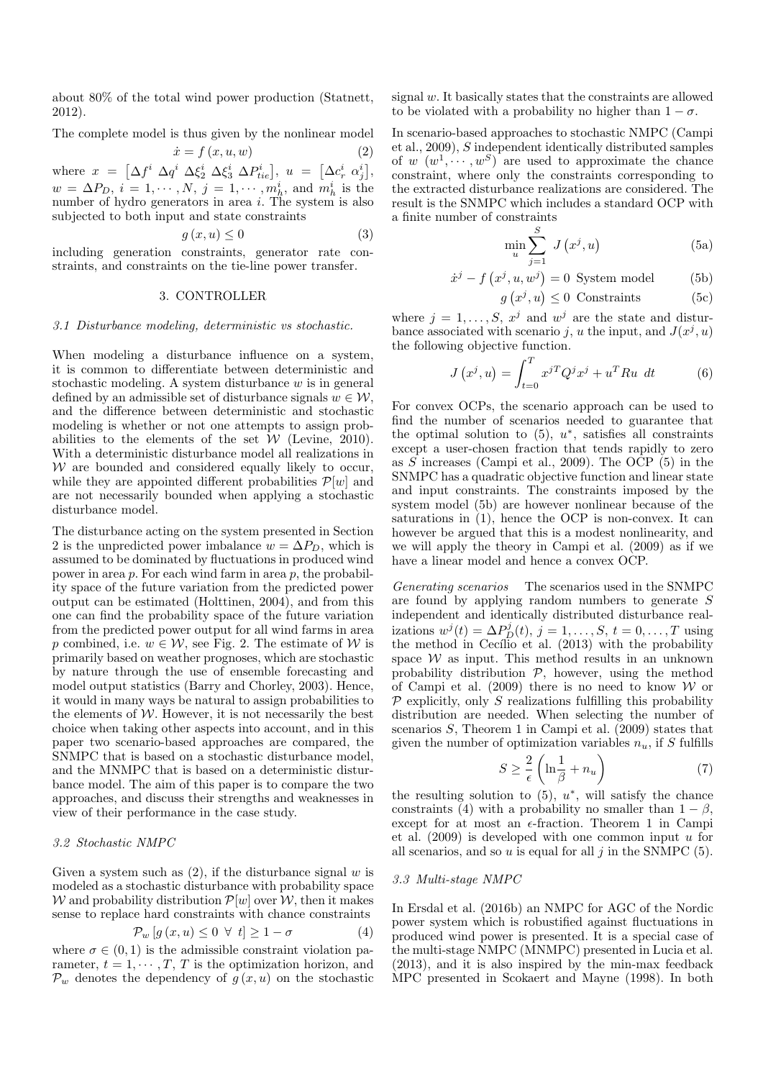about 80% of the total wind power production (Statnett, 2012).

The complete model is thus given by the nonlinear model

$$
\dot{x} = f(x, u, w) \tag{2}
$$

where  $x = \left[\Delta f^i \ \Delta q^i \ \Delta \xi_2^i \ \Delta \xi_3^i \ \Delta P_{tie}^i\right], u = \left[\Delta c_r^i \ \alpha_j^i\right],$  $w = \Delta P_D, i = 1, \cdots, N, j = 1, \cdots, m_h^i$ , and  $m_h^i$  is the number of hydro generators in area  $i$ . The system is also subjected to both input and state constraints

$$
g(x, u) \le 0 \tag{3}
$$

including generation constraints, generator rate constraints, and constraints on the tie-line power transfer.

## 3. CONTROLLER

#### 3.1 Disturbance modeling, deterministic vs stochastic.

When modeling a disturbance influence on a system, it is common to differentiate between deterministic and stochastic modeling. A system disturbance  $w$  is in general defined by an admissible set of disturbance signals  $w \in \mathcal{W}$ , and the difference between deterministic and stochastic modeling is whether or not one attempts to assign probabilities to the elements of the set  $W$  (Levine, 2010). With a deterministic disturbance model all realizations in  $W$  are bounded and considered equally likely to occur, while they are appointed different probabilities  $\mathcal{P}[w]$  and are not necessarily bounded when applying a stochastic disturbance model.

The disturbance acting on the system presented in Section 2 is the unpredicted power imbalance  $w = \Delta P_D$ , which is assumed to be dominated by fluctuations in produced wind power in area p. For each wind farm in area p, the probability space of the future variation from the predicted power output can be estimated (Holttinen, 2004), and from this one can find the probability space of the future variation from the predicted power output for all wind farms in area p combined, i.e.  $w \in \mathcal{W}$ , see Fig. 2. The estimate of  $\mathcal W$  is primarily based on weather prognoses, which are stochastic by nature through the use of ensemble forecasting and model output statistics (Barry and Chorley, 2003). Hence, it would in many ways be natural to assign probabilities to the elements of  $W$ . However, it is not necessarily the best choice when taking other aspects into account, and in this paper two scenario-based approaches are compared, the SNMPC that is based on a stochastic disturbance model, and the MNMPC that is based on a deterministic disturbance model. The aim of this paper is to compare the two approaches, and discuss their strengths and weaknesses in view of their performance in the case study.

## 3.2 Stochastic NMPC

Given a system such as  $(2)$ , if the disturbance signal w is modeled as a stochastic disturbance with probability space W and probability distribution  $\mathcal{P}[w]$  over W, then it makes sense to replace hard constraints with chance constraints

$$
\mathcal{P}_w \left[ g \left( x, u \right) \leq 0 \ \forall \ t \right] \geq 1 - \sigma \tag{4}
$$

where  $\sigma \in (0, 1)$  is the admissible constraint violation parameter,  $t = 1, \dots, T, T$  is the optimization horizon, and  $\mathcal{P}_w$  denotes the dependency of  $g(x, u)$  on the stochastic signal w. It basically states that the constraints are allowed to be violated with a probability no higher than  $1 - \sigma$ .

In scenario-based approaches to stochastic NMPC (Campi et al., 2009), S independent identically distributed samples of  $w(w^1, \dots, w^S)$  are used to approximate the chance constraint, where only the constraints corresponding to the extracted disturbance realizations are considered. The result is the SNMPC which includes a standard OCP with a finite number of constraints

$$
\min_{u} \sum_{j=1}^{S} J\left(x^{j}, u\right) \tag{5a}
$$

$$
\dot{x}^j - f(x^j, u, w^j) = 0 \text{ System model} \tag{5b}
$$

$$
g(x^j, u) \le 0 \text{ Constraints} \tag{5c}
$$

where  $j = 1, \ldots, S, x^j$  and  $w^j$  are the state and disturbance associated with scenario j, u the input, and  $J(x^j, u)$ the following objective function.

$$
J(x^j, u) = \int_{t=0}^T x^{jT} Q^j x^j + u^T R u \ dt \qquad (6)
$$

For convex OCPs, the scenario approach can be used to find the number of scenarios needed to guarantee that the optimal solution to  $(5)$ ,  $u^*$ , satisfies all constraints except a user-chosen fraction that tends rapidly to zero as S increases (Campi et al., 2009). The OCP (5) in the SNMPC has a quadratic objective function and linear state and input constraints. The constraints imposed by the system model (5b) are however nonlinear because of the saturations in  $(1)$ , hence the OCP is non-convex. It can however be argued that this is a modest nonlinearity, and we will apply the theory in Campi et al. (2009) as if we have a linear model and hence a convex OCP.

Generating scenarios The scenarios used in the SNMPC are found by applying random numbers to generate S independent and identically distributed disturbance realizations  $w^j(t) = \Delta P_D^j(t)$ ,  $j = 1, \ldots, S$ ,  $t = 0, \ldots, T$  using the method in Cecílio et al.  $(2013)$  with the probability space  $W$  as input. This method results in an unknown probability distribution  $P$ , however, using the method of Campi et al. (2009) there is no need to know  $W$  or  $\mathcal P$  explicitly, only S realizations fulfilling this probability distribution are needed. When selecting the number of scenarios S, Theorem 1 in Campi et al. (2009) states that given the number of optimization variables  $n_u$ , if S fulfills

$$
S \ge \frac{2}{\epsilon} \left( \ln \frac{1}{\beta} + n_u \right) \tag{7}
$$

the resulting solution to  $(5)$ ,  $u^*$ , will satisfy the chance constraints (4) with a probability no smaller than  $1 - \beta$ , except for at most an  $\epsilon$ -fraction. Theorem 1 in Campi et al.  $(2009)$  is developed with one common input u for all scenarios, and so u is equal for all  $j$  in the SNMPC  $(5)$ .

## 3.3 Multi-stage NMPC

In Ersdal et al. (2016b) an NMPC for AGC of the Nordic power system which is robustified against fluctuations in produced wind power is presented. It is a special case of the multi-stage NMPC (MNMPC) presented in Lucia et al. (2013), and it is also inspired by the min-max feedback MPC presented in Scokaert and Mayne (1998). In both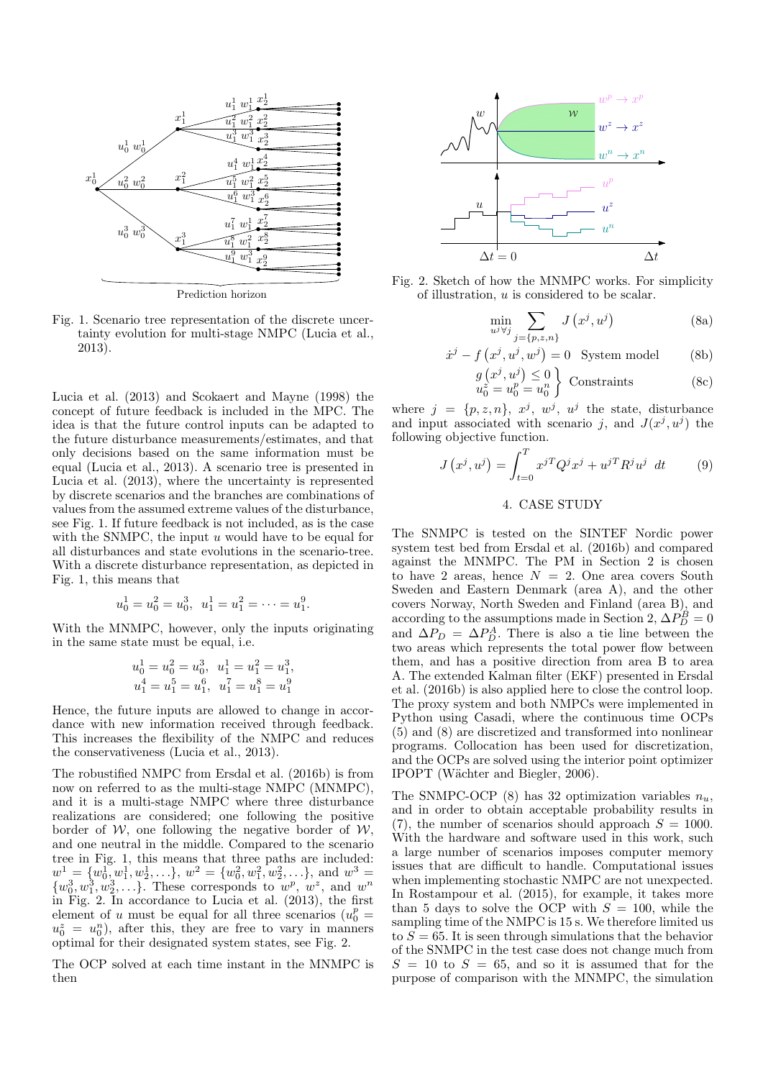

Prediction horizon

Fig. 1. Scenario tree representation of the discrete uncertainty evolution for multi-stage NMPC (Lucia et al., 2013).

Lucia et al. (2013) and Scokaert and Mayne (1998) the concept of future feedback is included in the MPC. The idea is that the future control inputs can be adapted to the future disturbance measurements/estimates, and that only decisions based on the same information must be equal (Lucia et al., 2013). A scenario tree is presented in Lucia et al. (2013), where the uncertainty is represented by discrete scenarios and the branches are combinations of values from the assumed extreme values of the disturbance, see Fig. 1. If future feedback is not included, as is the case with the SNMPC, the input  $u$  would have to be equal for all disturbances and state evolutions in the scenario-tree. With a discrete disturbance representation, as depicted in Fig. 1, this means that

$$
u_0^1 = u_0^2 = u_0^3
$$
,  $u_1^1 = u_1^2 = \cdots = u_1^9$ .

With the MNMPC, however, only the inputs originating in the same state must be equal, i.e.

$$
u_0^1 = u_0^2 = u_0^3, \ \ u_1^1 = u_1^2 = u_1^3, \\ u_1^4 = u_1^5 = u_1^6, \ \ u_1^7 = u_1^8 = u_1^9
$$

Hence, the future inputs are allowed to change in accordance with new information received through feedback. This increases the flexibility of the NMPC and reduces the conservativeness (Lucia et al., 2013).

The robustified NMPC from Ersdal et al. (2016b) is from now on referred to as the multi-stage NMPC (MNMPC), and it is a multi-stage NMPC where three disturbance realizations are considered; one following the positive border of  $W$ , one following the negative border of  $W$ , and one neutral in the middle. Compared to the scenario tree in Fig. 1, this means that three paths are included:  $w_1^1 = \{w_0^1, w_1^1, w_2^1, \ldots\}, w_1^2 = \{w_0^2, w_1^2, w_2^2, \ldots\}, w_1^3 = \sum_{k=1}^{\infty} w_1^2, w_2^2, \ldots\}$  $\{w_0^3, w_1^3, w_2^3, \ldots\}$ . These corresponds to  $w^p, w^z$ , and  $w^n$ in Fig. 2. In accordance to Lucia et al. (2013), the first element of u must be equal for all three scenarios ( $u_0^p =$  $u_0^z = u_0^n$ , after this, they are free to vary in manners optimal for their designated system states, see Fig. 2.

The OCP solved at each time instant in the MNMPC is then



Fig. 2. Sketch of how the MNMPC works. For simplicity of illustration, u is considered to be scalar.

 $\dot{x}$ 

$$
\min_{u^j \forall j} \sum_{j=\{p,z,n\}} J\left(x^j, u^j\right) \tag{8a}
$$

$$
j - f\left(x^j, u^j, w^j\right) = 0 \quad \text{System model} \tag{8b}
$$

$$
g(x^j, u^j) \le 0u_0^z = u_0^n = u_0^n
$$
 Constraints (8c)

where  $j = \{p, z, n\}, x^j, w^j, u^j$  the state, disturbance and input associated with scenario j, and  $J(x^j, u^j)$  the following objective function.

$$
J(x^j, u^j) = \int_{t=0}^T x^{jT} Q^j x^j + u^{jT} R^j u^j dt \qquad (9)
$$

## 4. CASE STUDY

The SNMPC is tested on the SINTEF Nordic power system test bed from Ersdal et al. (2016b) and compared against the MNMPC. The PM in Section 2 is chosen to have 2 areas, hence  $N = 2$ . One area covers South Sweden and Eastern Denmark (area A), and the other covers Norway, North Sweden and Finland (area B), and according to the assumptions made in Section 2,  $\Delta P_D^B = 0$ and  $\Delta P_D = \Delta P_D^A$ . There is also a tie line between the two areas which represents the total power flow between them, and has a positive direction from area B to area A. The extended Kalman filter (EKF) presented in Ersdal et al. (2016b) is also applied here to close the control loop. The proxy system and both NMPCs were implemented in Python using Casadi, where the continuous time OCPs (5) and (8) are discretized and transformed into nonlinear programs. Collocation has been used for discretization, and the OCPs are solved using the interior point optimizer IPOPT (Wächter and Biegler, 2006).

The SNMPC-OCP (8) has 32 optimization variables  $n_u$ , and in order to obtain acceptable probability results in (7), the number of scenarios should approach  $S = 1000$ . With the hardware and software used in this work, such a large number of scenarios imposes computer memory issues that are difficult to handle. Computational issues when implementing stochastic NMPC are not unexpected. In Rostampour et al. (2015), for example, it takes more than 5 days to solve the OCP with  $S = 100$ , while the sampling time of the NMPC is 15 s. We therefore limited us to  $S = 65$ . It is seen through simulations that the behavior of the SNMPC in the test case does not change much from  $S = 10$  to  $S = 65$ , and so it is assumed that for the purpose of comparison with the MNMPC, the simulation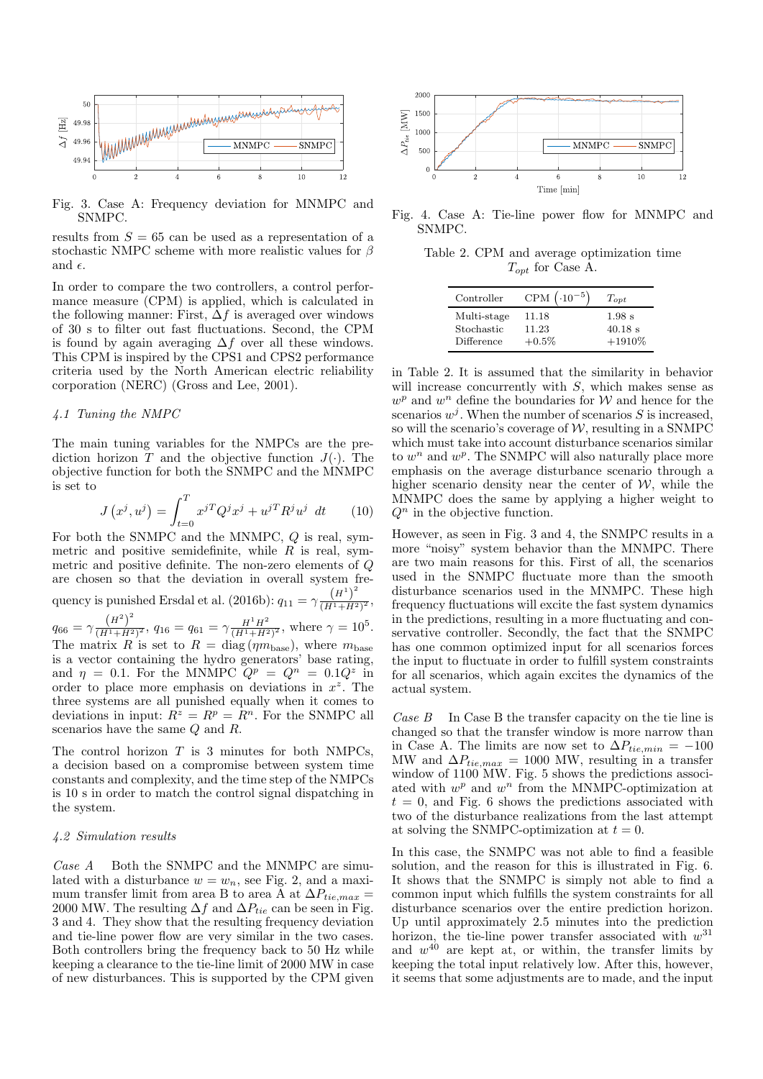

Fig. 3. Case A: Frequency deviation for MNMPC and SNMPC.

results from  $S = 65$  can be used as a representation of a stochastic NMPC scheme with more realistic values for  $\beta$ and  $\epsilon$ .

In order to compare the two controllers, a control performance measure (CPM) is applied, which is calculated in the following manner: First,  $\Delta f$  is averaged over windows of 30 s to filter out fast fluctuations. Second, the CPM is found by again averaging  $\Delta f$  over all these windows. This CPM is inspired by the CPS1 and CPS2 performance criteria used by the North American electric reliability corporation (NERC) (Gross and Lee, 2001).

## 4.1 Tuning the NMPC

The main tuning variables for the NMPCs are the prediction horizon  $\overline{T}$  and the objective function  $J(.)$ . The objective function for both the SNMPC and the MNMPC is set to

$$
J\left(x^{j}, u^{j}\right) = \int_{t=0}^{T} x^{j} Q^{j} x^{j} + u^{j} R^{j} u^{j} dt \qquad (10)
$$

For both the SNMPC and the MNMPC, Q is real, symmetric and positive semidefinite, while  $R$  is real, symmetric and positive definite. The non-zero elements of Q are chosen so that the deviation in overall system frequency is punished Ersdal et al. (2016b):  $q_{11} = \gamma \frac{\left(H^1\right)^2}{\left(H^1 + H^2\right)}$  $\frac{(H^{1}+H^{2})^{2}}{(H^{1}+H^{2})^{2}},$  $q_{66} = \gamma \frac{\left(H^2\right)^2}{\left(H^1 + H^2\right)}$  $\frac{(H^2)^2}{(H^1+H^2)^2}$ ,  $q_{16}=q_{61}=\gamma \frac{H^1H^2}{(H^1+H^2)}$  $\frac{H^1 H^2}{(H^1 + H^2)^2}$ , where  $\gamma = 10^5$ . The matrix R is set to  $R = \text{diag}( \eta m_{\text{base}})$ , where  $m_{\text{base}}$ is a vector containing the hydro generators' base rating, and  $\eta = 0.1$ . For the MNMPC  $Q^p = Q^n = 0.1Q^z$  in order to place more emphasis on deviations in  $x^2$ . The three systems are all punished equally when it comes to deviations in input:  $R^z = R^p = R^n$ . For the SNMPC all scenarios have the same Q and R.

The control horizon  $T$  is 3 minutes for both NMPCs, a decision based on a compromise between system time constants and complexity, and the time step of the NMPCs is 10 s in order to match the control signal dispatching in the system.

#### 4.2 Simulation results

Case A Both the SNMPC and the MNMPC are simulated with a disturbance  $w = w_n$ , see Fig. 2, and a maximum transfer limit from area B to area A at  $\Delta P_{tie,max}$  = 2000 MW. The resulting  $\Delta f$  and  $\Delta P_{tie}$  can be seen in Fig. 3 and 4. They show that the resulting frequency deviation and tie-line power flow are very similar in the two cases. Both controllers bring the frequency back to 50 Hz while keeping a clearance to the tie-line limit of 2000 MW in case of new disturbances. This is supported by the CPM given



Fig. 4. Case A: Tie-line power flow for MNMPC and SNMPC.

Table 2. CPM and average optimization time  $T_{opt}$  for Case A.

| Controller  | CPM $(.10^{-5})$ | $T_{opt}$ |
|-------------|------------------|-----------|
| Multi-stage | 11.18            | 1.98 s    |
| Stochastic  | 11.23            | $40.18$ s |
| Difference  | $+0.5\%$         | $+1910%$  |

in Table 2. It is assumed that the similarity in behavior will increase concurrently with S, which makes sense as  $w^p$  and  $w^n$  define the boundaries for W and hence for the scenarios  $w^j$ . When the number of scenarios S is increased, so will the scenario's coverage of  $W$ , resulting in a SNMPC which must take into account disturbance scenarios similar to  $w<sup>n</sup>$  and  $w<sup>p</sup>$ . The SNMPC will also naturally place more emphasis on the average disturbance scenario through a higher scenario density near the center of  $W$ , while the MNMPC does the same by applying a higher weight to  $Q<sup>n</sup>$  in the objective function.

However, as seen in Fig. 3 and 4, the SNMPC results in a more "noisy" system behavior than the MNMPC. There are two main reasons for this. First of all, the scenarios used in the SNMPC fluctuate more than the smooth disturbance scenarios used in the MNMPC. These high frequency fluctuations will excite the fast system dynamics in the predictions, resulting in a more fluctuating and conservative controller. Secondly, the fact that the SNMPC has one common optimized input for all scenarios forces the input to fluctuate in order to fulfill system constraints for all scenarios, which again excites the dynamics of the actual system.

Case  $B$  In Case B the transfer capacity on the tie line is changed so that the transfer window is more narrow than in Case A. The limits are now set to  $\Delta P_{tie,min} = -100$ MW and  $\Delta P_{tie,max} = 1000$  MW, resulting in a transfer window of  $1100$  MW. Fig. 5 shows the predictions associated with  $w^p$  and  $w^n$  from the MNMPC-optimization at  $t = 0$ , and Fig. 6 shows the predictions associated with two of the disturbance realizations from the last attempt at solving the SNMPC-optimization at  $t = 0$ .

In this case, the SNMPC was not able to find a feasible solution, and the reason for this is illustrated in Fig. 6. It shows that the SNMPC is simply not able to find a common input which fulfills the system constraints for all disturbance scenarios over the entire prediction horizon. Up until approximately 2.5 minutes into the prediction horizon, the tie-line power transfer associated with  $w^{31}$ and  $w^{40}$  are kept at, or within, the transfer limits by keeping the total input relatively low. After this, however, it seems that some adjustments are to made, and the input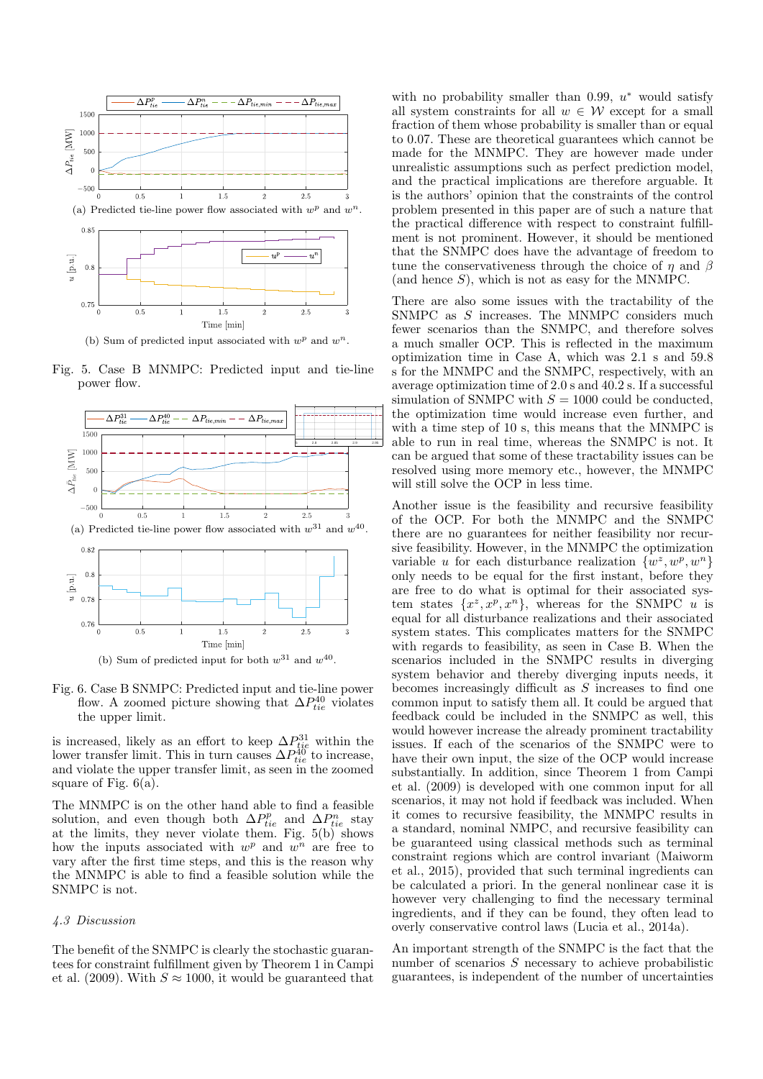

(b) Sum of predicted input associated with  $w^p$  and  $w^n$ .

Fig. 5. Case B MNMPC: Predicted input and tie-line power flow.



Fig. 6. Case B SNMPC: Predicted input and tie-line power flow. A zoomed picture showing that  $\Delta P_{tie}^{40}$  violates the upper limit.

is increased, likely as an effort to keep  $\Delta P_{tie}^{31}$  within the lower transfer limit. This in turn causes  $\Delta P_{tie}^{40}$  to increase, and violate the upper transfer limit, as seen in the zoomed square of Fig.  $6(a)$ .

The MNMPC is on the other hand able to find a feasible solution, and even though both  $\Delta P_{tie}^p$  and  $\Delta P_{tie}^n$  stay at the limits, they never violate them. Fig. 5(b) shows how the inputs associated with  $w^p$  and  $w^n$  are free to vary after the first time steps, and this is the reason why the MNMPC is able to find a feasible solution while the SNMPC is not.

## 4.3 Discussion

The benefit of the SNMPC is clearly the stochastic guarantees for constraint fulfillment given by Theorem 1 in Campi et al. (2009). With  $S \approx 1000$ , it would be guaranteed that

with no probability smaller than  $0.99, u^*$  would satisfy all system constraints for all  $w \in \mathcal{W}$  except for a small fraction of them whose probability is smaller than or equal to 0.07. These are theoretical guarantees which cannot be made for the MNMPC. They are however made under unrealistic assumptions such as perfect prediction model, and the practical implications are therefore arguable. It is the authors' opinion that the constraints of the control problem presented in this paper are of such a nature that the practical difference with respect to constraint fulfillment is not prominent. However, it should be mentioned that the SNMPC does have the advantage of freedom to tune the conservativeness through the choice of  $\eta$  and  $\beta$ (and hence  $S$ ), which is not as easy for the MNMPC.

 $\frac{1}{2.8}$   $\frac{1}{2.8}$   $\frac{1}{2.8}$   $\frac{1}{2.8}$  able to run in real time, whereas the SNMPC is not. It There are also some issues with the tractability of the SNMPC as S increases. The MNMPC considers much fewer scenarios than the SNMPC, and therefore solves a much smaller OCP. This is reflected in the maximum optimization time in Case A, which was 2.1 s and 59.8 s for the MNMPC and the SNMPC, respectively, with an average optimization time of 2.0 s and 40.2 s. If a successful simulation of SNMPC with  $S = 1000$  could be conducted, the optimization time would increase even further, and with a time step of 10 s, this means that the MNMPC is can be argued that some of these tractability issues can be resolved using more memory etc., however, the MNMPC will still solve the OCP in less time.

> Another issue is the feasibility and recursive feasibility of the OCP. For both the MNMPC and the SNMPC there are no guarantees for neither feasibility nor recursive feasibility. However, in the MNMPC the optimization variable *u* for each disturbance realization  $\{w^z, w^p, w^n\}$ only needs to be equal for the first instant, before they are free to do what is optimal for their associated system states  $\{x^z, x^p, x^n\}$ , whereas for the SNMPC u is equal for all disturbance realizations and their associated system states. This complicates matters for the SNMPC with regards to feasibility, as seen in Case B. When the scenarios included in the SNMPC results in diverging system behavior and thereby diverging inputs needs, it becomes increasingly difficult as S increases to find one common input to satisfy them all. It could be argued that feedback could be included in the SNMPC as well, this would however increase the already prominent tractability issues. If each of the scenarios of the SNMPC were to have their own input, the size of the OCP would increase substantially. In addition, since Theorem 1 from Campi et al. (2009) is developed with one common input for all scenarios, it may not hold if feedback was included. When it comes to recursive feasibility, the MNMPC results in a standard, nominal NMPC, and recursive feasibility can be guaranteed using classical methods such as terminal constraint regions which are control invariant (Maiworm et al., 2015), provided that such terminal ingredients can be calculated a priori. In the general nonlinear case it is however very challenging to find the necessary terminal ingredients, and if they can be found, they often lead to overly conservative control laws (Lucia et al., 2014a).

> An important strength of the SNMPC is the fact that the number of scenarios S necessary to achieve probabilistic guarantees, is independent of the number of uncertainties